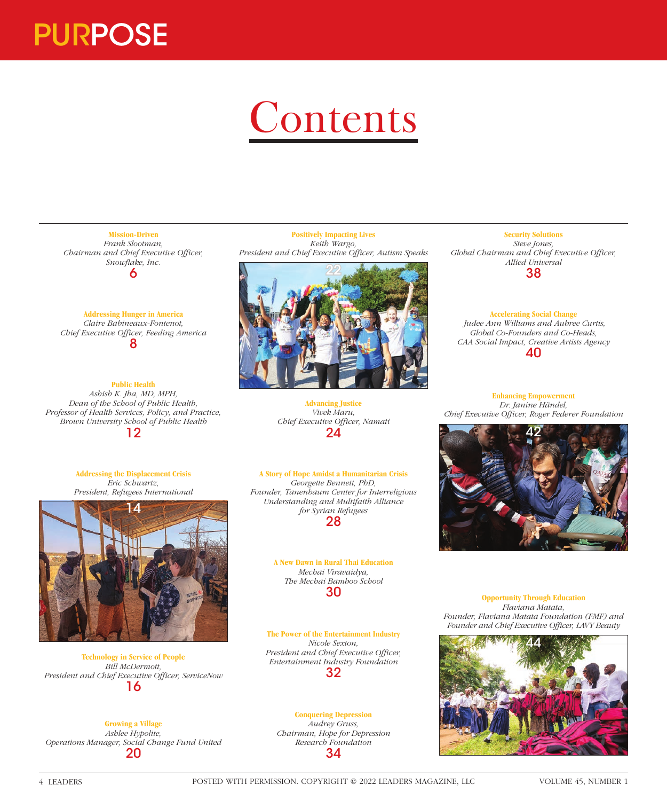

## **Contents**

**Mission-Driven** *Frank Slootman, Chairman and Chief Executive Officer, Snowflake, Inc.* 6

**Addressing Hunger in America** *Claire Babineaux-Fontenot, Chief Executive Officer, Feeding America* 8

## **Public Health**

*Ashish K. Jha, MD, MPH, Dean of the School of Public Health, Professor of Health Services, Policy, and Practice, Brown University School of Public Health* 12

> **Addressing the Displacement Crisis** *Eric Schwartz, President, Refugees International*



**Technology in Service of People** *Bill McDermott, President and Chief Executive Officer, ServiceNow* 16

**Growing a Village** *Ashlee Hypolite, Operations Manager, Social Change Fund United* 20

**Positively Impacting Lives** *Keith Wargo, President and Chief Executive Officer, Autism Speaks*



**Advancing Justice** *Vivek Maru, Chief Executive Officer, Namati* 24

**A Story of Hope Amidst a Humanitarian Crisis** *Georgette Bennett, PhD, Founder, Tanenbaum Center for Interreligious Understanding and Multifaith Alliance for Syrian Refugees* 28

> **A New Dawn in Rural Thai Education** *Mechai Viravaidya, The Mechai Bamboo School* 30

**The Power of the Entertainment Industry** *Nicole Sexton, President and Chief Executive Officer, Entertainment Industry Foundation* 32

## **Conquering Depression** *Audrey Gruss,*

*Chairman, Hope for Depression Research Foundation* 34

**Security Solutions** *Steve Jones, Global Chairman and Chief Executive Officer, Allied Universal* 38

**Accelerating Social Change**  *Judee Ann Williams and Aubree Curtis, Global Co-Founders and Co-Heads, CAA Social Impact, Creative Artists Agency* 40

**Enhancing Empowerment** *Dr. Janine Händel, Chief Executive Officer, Roger Federer Foundation*



**Opportunity Through Education** *Flaviana Matata, Founder, Flaviana Matata Foundation (FMF) and Founder and Chief Executive Officer, LAVY Beauty*